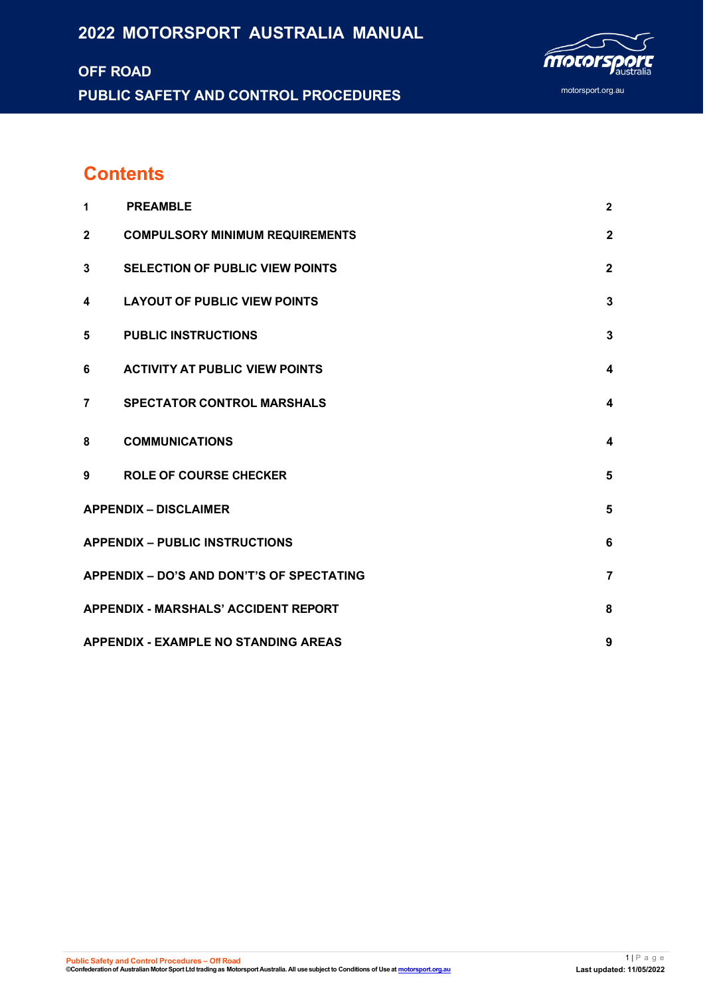# **2022 MOTORSPORT AUSTRALIA MANUAL**

# **OFF ROAD PUBLIC SAFETY AND CONTROL PROCEDURES**



# **Contents**

| 1              | <b>PREAMBLE</b>                             | $\overline{2}$ |
|----------------|---------------------------------------------|----------------|
| $\overline{2}$ | <b>COMPULSORY MINIMUM REQUIREMENTS</b>      | $\mathbf{2}$   |
| 3              | <b>SELECTION OF PUBLIC VIEW POINTS</b>      | $\mathbf{2}$   |
| 4              | <b>LAYOUT OF PUBLIC VIEW POINTS</b>         | 3              |
| 5              | <b>PUBLIC INSTRUCTIONS</b>                  | 3              |
| 6              | <b>ACTIVITY AT PUBLIC VIEW POINTS</b>       | 4              |
| $\overline{7}$ | <b>SPECTATOR CONTROL MARSHALS</b>           | 4              |
| 8              | <b>COMMUNICATIONS</b>                       | 4              |
| 9              | <b>ROLE OF COURSE CHECKER</b>               | 5              |
|                | <b>APPENDIX - DISCLAIMER</b>                | 5              |
|                | <b>APPENDIX - PUBLIC INSTRUCTIONS</b>       | 6              |
|                | APPENDIX - DO'S AND DON'T'S OF SPECTATING   | 7              |
|                | <b>APPENDIX - MARSHALS' ACCIDENT REPORT</b> | 8              |
|                | <b>APPENDIX - EXAMPLE NO STANDING AREAS</b> | 9              |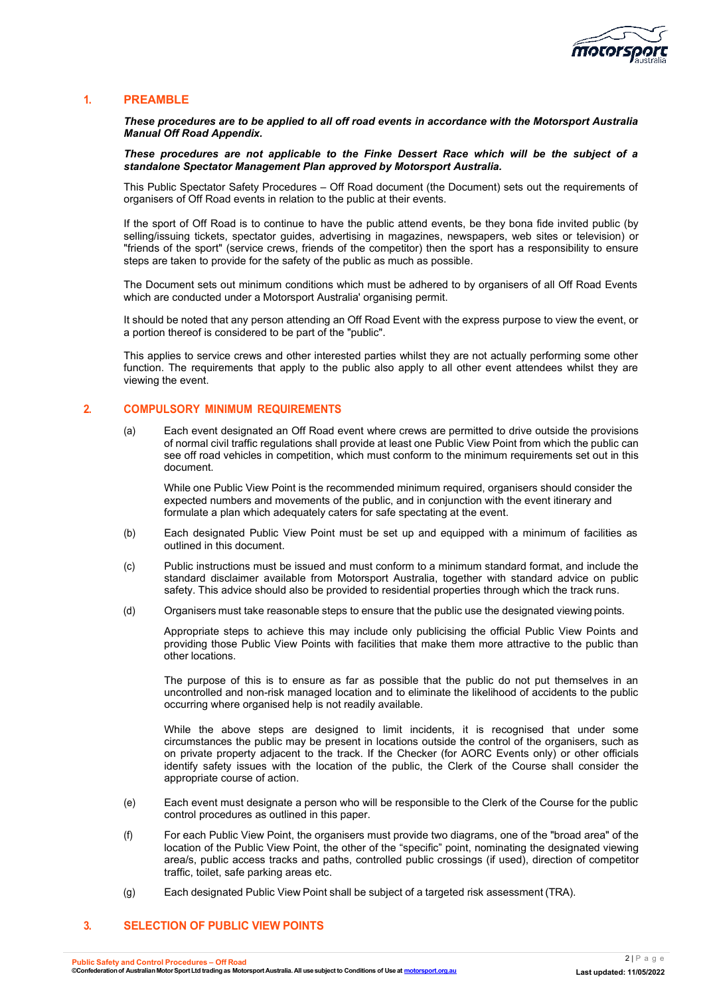

#### <span id="page-1-0"></span>**1. PREAMBLE**

*These procedures are to be applied to all off road events in accordance with the Motorsport Australia Manual Off Road Appendix.*

*These procedures are not applicable to the Finke Dessert Race which will be the subject of a standalone Spectator Management Plan approved by Motorsport Australia.*

This Public Spectator Safety Procedures – Off Road document (the Document) sets out the requirements of organisers of Off Road events in relation to the public at their events.

If the sport of Off Road is to continue to have the public attend events, be they bona fide invited public (by selling/issuing tickets, spectator guides, advertising in magazines, newspapers, web sites or television) or "friends of the sport" (service crews, friends of the competitor) then the sport has a responsibility to ensure steps are taken to provide for the safety of the public as much as possible.

The Document sets out minimum conditions which must be adhered to by organisers of all Off Road Events which are conducted under a Motorsport Australia' organising permit.

It should be noted that any person attending an Off Road Event with the express purpose to view the event, or a portion thereof is considered to be part of the "public".

This applies to service crews and other interested parties whilst they are not actually performing some other function. The requirements that apply to the public also apply to all other event attendees whilst they are viewing the event.

#### <span id="page-1-1"></span>**2. COMPULSORY MINIMUM REQUIREMENTS**

(a) Each event designated an Off Road event where crews are permitted to drive outside the provisions of normal civil traffic regulations shall provide at least one Public View Point from which the public can see off road vehicles in competition, which must conform to the minimum requirements set out in this document.

While one Public View Point is the recommended minimum required, organisers should consider the expected numbers and movements of the public, and in conjunction with the event itinerary and formulate a plan which adequately caters for safe spectating at the event.

- (b) Each designated Public View Point must be set up and equipped with a minimum of facilities as outlined in this document.
- (c) Public instructions must be issued and must conform to a minimum standard format, and include the standard disclaimer available from Motorsport Australia, together with standard advice on public safety. This advice should also be provided to residential properties through which the track runs.
- (d) Organisers must take reasonable steps to ensure that the public use the designated viewing points.

Appropriate steps to achieve this may include only publicising the official Public View Points and providing those Public View Points with facilities that make them more attractive to the public than other locations.

The purpose of this is to ensure as far as possible that the public do not put themselves in an uncontrolled and non-risk managed location and to eliminate the likelihood of accidents to the public occurring where organised help is not readily available.

While the above steps are designed to limit incidents, it is recognised that under some circumstances the public may be present in locations outside the control of the organisers, such as on private property adjacent to the track. If the Checker (for AORC Events only) or other officials identify safety issues with the location of the public, the Clerk of the Course shall consider the appropriate course of action.

- (e) Each event must designate a person who will be responsible to the Clerk of the Course for the public control procedures as outlined in this paper.
- (f) For each Public View Point, the organisers must provide two diagrams, one of the "broad area" of the location of the Public View Point, the other of the "specific" point, nominating the designated viewing area/s, public access tracks and paths, controlled public crossings (if used), direction of competitor traffic, toilet, safe parking areas etc.
- (g) Each designated Public View Point shall be subject of a targeted risk assessment (TRA).

#### <span id="page-1-2"></span>**3. SELECTION OF PUBLIC VIEW POINTS**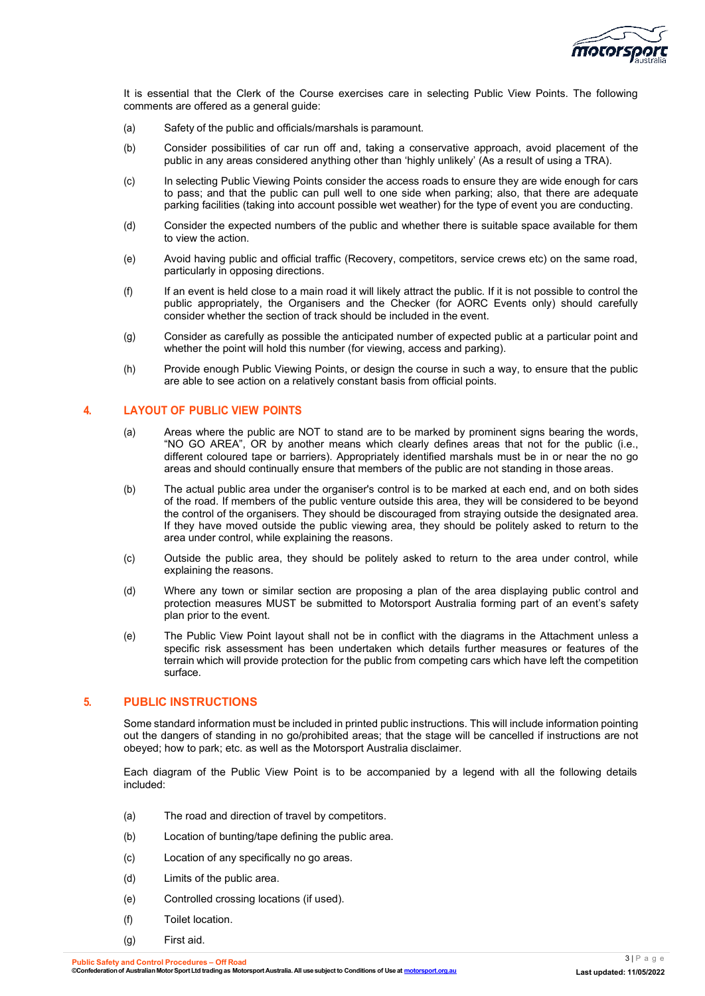

It is essential that the Clerk of the Course exercises care in selecting Public View Points. The following comments are offered as a general guide:

- (a) Safety of the public and officials/marshals is paramount.
- (b) Consider possibilities of car run off and, taking a conservative approach, avoid placement of the public in any areas considered anything other than 'highly unlikely' (As a result of using a TRA).
- (c) In selecting Public Viewing Points consider the access roads to ensure they are wide enough for cars to pass; and that the public can pull well to one side when parking; also, that there are adequate parking facilities (taking into account possible wet weather) for the type of event you are conducting.
- (d) Consider the expected numbers of the public and whether there is suitable space available for them to view the action.
- (e) Avoid having public and official traffic (Recovery, competitors, service crews etc) on the same road, particularly in opposing directions.
- (f) If an event is held close to a main road it will likely attract the public. If it is not possible to control the public appropriately, the Organisers and the Checker (for AORC Events only) should carefully consider whether the section of track should be included in the event.
- (g) Consider as carefully as possible the anticipated number of expected public at a particular point and whether the point will hold this number (for viewing, access and parking).
- (h) Provide enough Public Viewing Points, or design the course in such a way, to ensure that the public are able to see action on a relatively constant basis from official points.

#### <span id="page-2-0"></span>**4. LAYOUT OF PUBLIC VIEW POINTS**

- (a) Areas where the public are NOT to stand are to be marked by prominent signs bearing the words, "NO GO AREA", OR by another means which clearly defines areas that not for the public (i.e., different coloured tape or barriers). Appropriately identified marshals must be in or near the no go areas and should continually ensure that members of the public are not standing in those areas.
- (b) The actual public area under the organiser's control is to be marked at each end, and on both sides of the road. If members of the public venture outside this area, they will be considered to be beyond the control of the organisers. They should be discouraged from straying outside the designated area. If they have moved outside the public viewing area, they should be politely asked to return to the area under control, while explaining the reasons.
- (c) Outside the public area, they should be politely asked to return to the area under control, while explaining the reasons.
- (d) Where any town or similar section are proposing a plan of the area displaying public control and protection measures MUST be submitted to Motorsport Australia forming part of an event's safety plan prior to the event.
- (e) The Public View Point layout shall not be in conflict with the diagrams in the Attachment unless a specific risk assessment has been undertaken which details further measures or features of the terrain which will provide protection for the public from competing cars which have left the competition surface.

#### <span id="page-2-1"></span>**5. PUBLIC INSTRUCTIONS**

Some standard information must be included in printed public instructions. This will include information pointing out the dangers of standing in no go/prohibited areas; that the stage will be cancelled if instructions are not obeyed; how to park; etc. as well as the Motorsport Australia disclaimer.

Each diagram of the Public View Point is to be accompanied by a legend with all the following details included:

- (a) The road and direction of travel by competitors.
- (b) Location of bunting/tape defining the public area.
- (c) Location of any specifically no go areas.
- (d) Limits of the public area.
- (e) Controlled crossing locations (if used).
- (f) Toilet location.
- (g) First aid.

**Public Safety and Control Procedures – Off Road**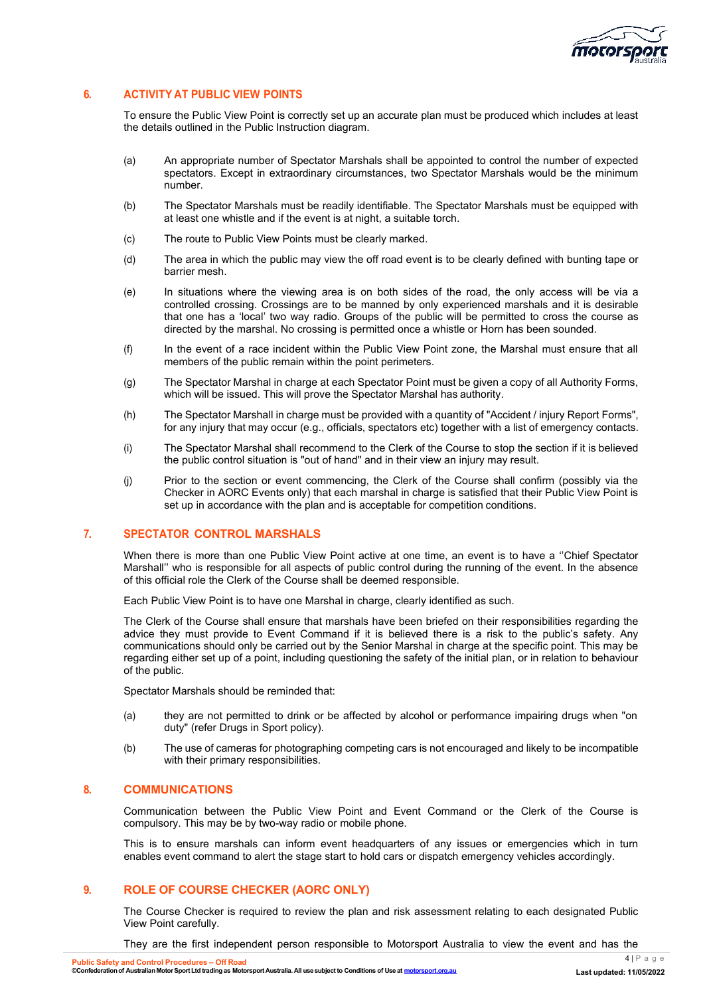

## <span id="page-3-0"></span>**6. ACTIVITY AT PUBLIC VIEW POINTS**

To ensure the Public View Point is correctly set up an accurate plan must be produced which includes at least the details outlined in the Public Instruction diagram.

- (a) An appropriate number of Spectator Marshals shall be appointed to control the number of expected spectators. Except in extraordinary circumstances, two Spectator Marshals would be the minimum number.
- (b) The Spectator Marshals must be readily identifiable. The Spectator Marshals must be equipped with at least one whistle and if the event is at night, a suitable torch.
- (c) The route to Public View Points must be clearly marked.
- (d) The area in which the public may view the off road event is to be clearly defined with bunting tape or barrier mesh.
- (e) In situations where the viewing area is on both sides of the road, the only access will be via a controlled crossing. Crossings are to be manned by only experienced marshals and it is desirable that one has a 'local' two way radio. Groups of the public will be permitted to cross the course as directed by the marshal. No crossing is permitted once a whistle or Horn has been sounded.
- (f) In the event of a race incident within the Public View Point zone, the Marshal must ensure that all members of the public remain within the point perimeters.
- (g) The Spectator Marshal in charge at each Spectator Point must be given a copy of all Authority Forms, which will be issued. This will prove the Spectator Marshal has authority.
- (h) The Spectator Marshall in charge must be provided with a quantity of "Accident / injury Report Forms", for any injury that may occur (e.g., officials, spectators etc) together with a list of emergency contacts.
- (i) The Spectator Marshal shall recommend to the Clerk of the Course to stop the section if it is believed the public control situation is "out of hand" and in their view an injury may result.
- (j) Prior to the section or event commencing, the Clerk of the Course shall confirm (possibly via the Checker in AORC Events only) that each marshal in charge is satisfied that their Public View Point is set up in accordance with the plan and is acceptable for competition conditions.

#### <span id="page-3-1"></span>**7. SPECTATOR CONTROL MARSHALS**

When there is more than one Public View Point active at one time, an event is to have a "Chief Spectator" Marshall'' who is responsible for all aspects of public control during the running of the event. In the absence of this official role the Clerk of the Course shall be deemed responsible.

Each Public View Point is to have one Marshal in charge, clearly identified as such.

The Clerk of the Course shall ensure that marshals have been briefed on their responsibilities regarding the advice they must provide to Event Command if it is believed there is a risk to the public's safety. Any communications should only be carried out by the Senior Marshal in charge at the specific point. This may be regarding either set up of a point, including questioning the safety of the initial plan, or in relation to behaviour of the public.

Spectator Marshals should be reminded that:

- (a) they are not permitted to drink or be affected by alcohol or performance impairing drugs when "on duty" (refer Drugs in Sport policy).
- (b) The use of cameras for photographing competing cars is not encouraged and likely to be incompatible with their primary responsibilities.

#### <span id="page-3-2"></span>**8. COMMUNICATIONS**

Communication between the Public View Point and Event Command or the Clerk of the Course is compulsory. This may be by two-way radio or mobile phone.

This is to ensure marshals can inform event headquarters of any issues or emergencies which in turn enables event command to alert the stage start to hold cars or dispatch emergency vehicles accordingly.

#### **9. ROLE OF COURSE CHECKER (AORC ONLY)**

The Course Checker is required to review the plan and risk assessment relating to each designated Public View Point carefully.

They are the first independent person responsible to Motorsport Australia to view the event and has the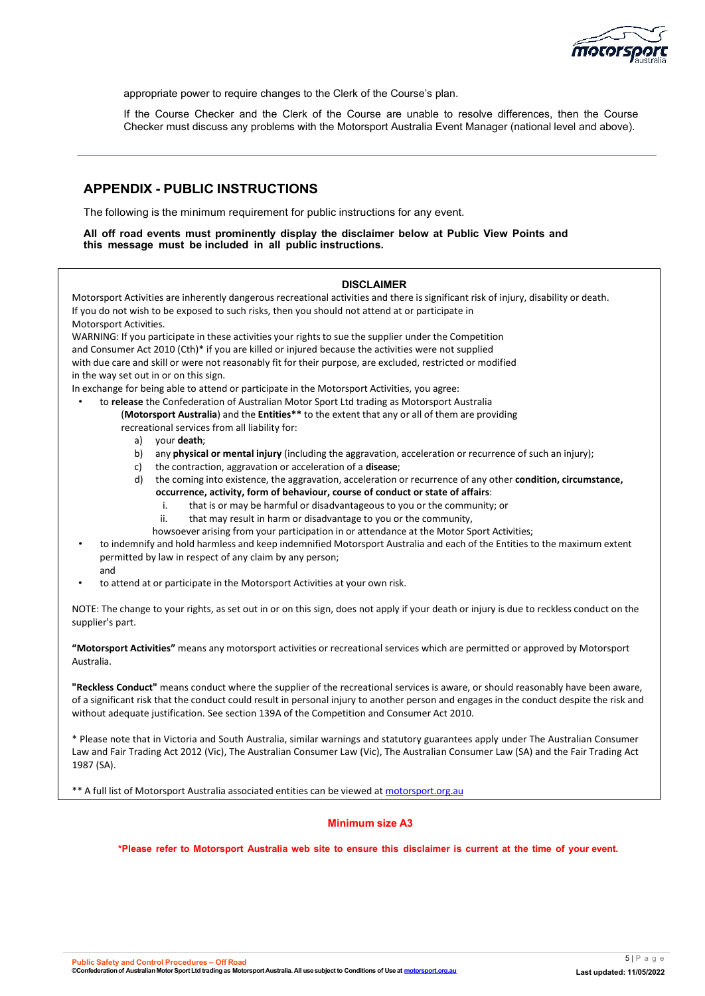

appropriate power to require changes to the Clerk of the Course's plan.

If the Course Checker and the Clerk of the Course are unable to resolve differences, then the Course Checker must discuss any problems with the Motorsport Australia Event Manager (national level and above).

## <span id="page-4-0"></span>**APPENDIX - PUBLIC INSTRUCTIONS**

The following is the minimum requirement for public instructions for any event.

#### **All off road events must prominently display the disclaimer below at Public View Points and this message must be included in all public instructions.**

#### **DISCLAIMER**

Motorsport Activities are inherently dangerous recreational activities and there is significant risk of injury, disability or death. If you do not wish to be exposed to such risks, then you should not attend at or participate in Motorsport Activities.

WARNING: If you participate in these activities your rights to sue the supplier under the Competition and Consumer Act 2010 (Cth)\* if you are killed or injured because the activities were not supplied with due care and skill or were not reasonably fit for their purpose, are excluded, restricted or modified in the way set out in or on this sign.

In exchange for being able to attend or participate in the Motorsport Activities, you agree:

- to **release** the Confederation of Australian Motor Sport Ltd trading as Motorsport Australia (**Motorsport Australia**) and the **Entities\*\*** to the extent that any or all of them are providing recreational services from all liability for:
	- a) your **death**;
	- b) any **physical or mental injury** (including the aggravation, acceleration or recurrence of such an injury);
	- c) the contraction, aggravation or acceleration of a **disease**;
	- d) the coming into existence, the aggravation, acceleration or recurrence of any other **condition, circumstance, occurrence, activity, form of behaviour, course of conduct or state of affairs**:
		- i. that is or may be harmful or disadvantageous to you or the community; or
		- ii. that may result in harm or disadvantage to you or the community,
		- howsoever arising from your participation in or attendance at the Motor Sport Activities;
- to indemnify and hold harmless and keep indemnified Motorsport Australia and each of the Entities to the maximum extent permitted by law in respect of any claim by any person; and
- to attend at or participate in the Motorsport Activities at your own risk.

NOTE: The change to your rights, as set out in or on this sign, does not apply if your death or injury is due to reckless conduct on the supplier's part.

**"Motorsport Activities"** means any motorsport activities or recreational services which are permitted or approved by Motorsport Australia.

**"Reckless Conduct"** means conduct where the supplier of the recreational services is aware, or should reasonably have been aware, of a significant risk that the conduct could result in personal injury to another person and engages in the conduct despite the risk and without adequate justification. See section 139A of the Competition and Consumer Act 2010.

\* Please note that in Victoria and South Australia, similar warnings and statutory guarantees apply under The Australian Consumer Law and Fair Trading Act 2012 (Vic), The Australian Consumer Law (Vic), The Australian Consumer Law (SA) and the Fair Trading Act 1987 (SA).

\*\* A full list of Motorsport Australia associated entities can be viewed at [motorsport.org.au](http://www.motorsport.org.au/)

#### **Minimum size A3**

\*Please refer to Motorsport Australia web site to ensure this disclaimer is current at the time of your event.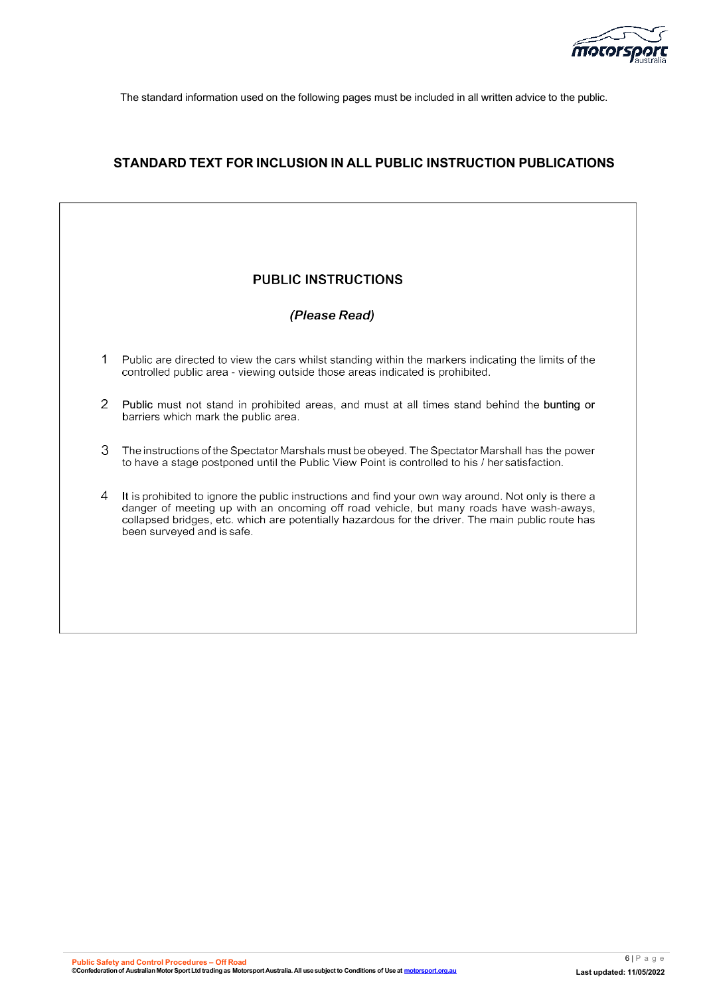

The standard information used on the following pages must be included in all written advice to the public.

## <span id="page-5-0"></span>**STANDARD TEXT FOR INCLUSION IN ALL PUBLIC INSTRUCTION PUBLICATIONS**

# **PUBLIC INSTRUCTIONS** (Please Read)  $\mathbf{1}$ Public are directed to view the cars whilst standing within the markers indicating the limits of the controlled public area - viewing outside those areas indicated is prohibited. 2 Public must not stand in prohibited areas, and must at all times stand behind the bunting or barriers which mark the public area. 3 The instructions of the Spectator Marshals must be obeyed. The Spectator Marshall has the power to have a stage postponed until the Public View Point is controlled to his / her satisfaction. It is prohibited to ignore the public instructions and find your own way around. Not only is there a  $\overline{4}$ danger of meeting up with an oncoming off road vehicle, but many roads have wash-aways, collapsed bridges, etc. which are potentially hazardous for the driver. The main public route has been surveyed and is safe.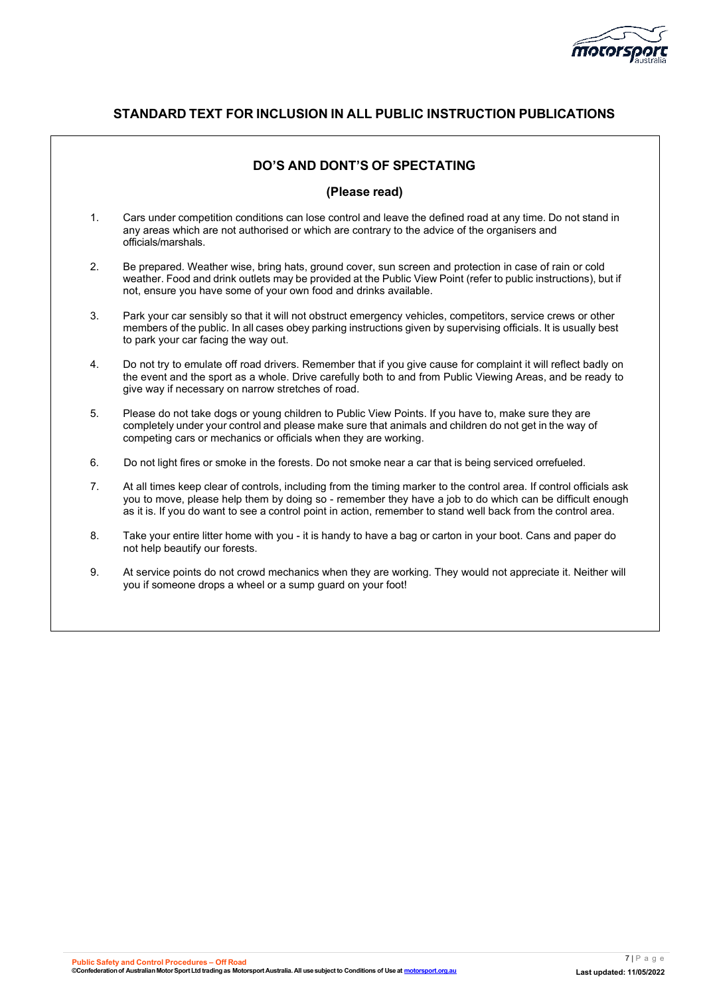

# **STANDARD TEXT FOR INCLUSION IN ALL PUBLIC INSTRUCTION PUBLICATIONS**

## **DO'S AND DONT'S OF SPECTATING**

#### **(Please read)**

- 1. Cars under competition conditions can lose control and leave the defined road at any time. Do not stand in any areas which are not authorised or which are contrary to the advice of the organisers and officials/marshals.
- 2. Be prepared. Weather wise, bring hats, ground cover, sun screen and protection in case of rain or cold weather. Food and drink outlets may be provided at the Public View Point (refer to public instructions), but if not, ensure you have some of your own food and drinks available.
- 3. Park your car sensibly so that it will not obstruct emergency vehicles, competitors, service crews or other members of the public. In all cases obey parking instructions given by supervising officials. It is usually best to park your car facing the way out.
- 4. Do not try to emulate off road drivers. Remember that if you give cause for complaint it will reflect badly on the event and the sport as a whole. Drive carefully both to and from Public Viewing Areas, and be ready to give way if necessary on narrow stretches of road.
- 5. Please do not take dogs or young children to Public View Points. If you have to, make sure they are completely under your control and please make sure that animals and children do not get in the way of competing cars or mechanics or officials when they are working.
- 6. Do not light fires or smoke in the forests. Do not smoke near a car that is being serviced orrefueled.
- 7. At all times keep clear of controls, including from the timing marker to the control area. If control officials ask you to move, please help them by doing so - remember they have a job to do which can be difficult enough as it is. If you do want to see a control point in action, remember to stand well back from the control area.
- 8. Take your entire litter home with you it is handy to have a bag or carton in your boot. Cans and paper do not help beautify our forests.
- 9. At service points do not crowd mechanics when they are working. They would not appreciate it. Neither will you if someone drops a wheel or a sump guard on your foot!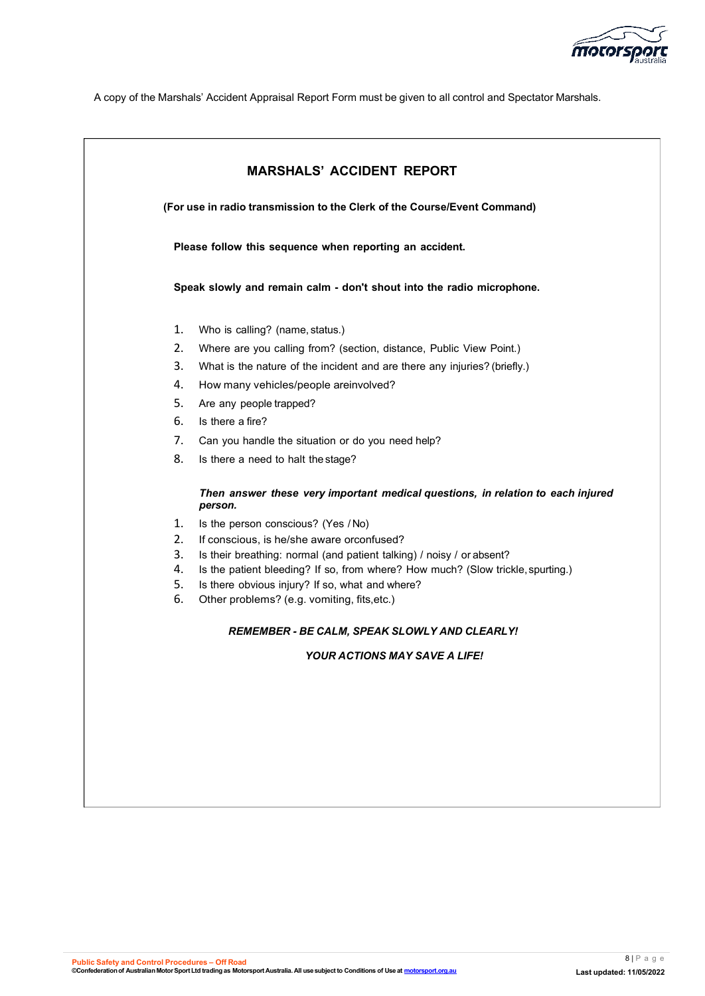

A copy of the Marshals' Accident Appraisal Report Form must be given to all control and Spectator Marshals.

<span id="page-7-0"></span>

|                                                                          | <b>MARSHALS' ACCIDENT REPORT</b>                                                                                                   |  |  |  |
|--------------------------------------------------------------------------|------------------------------------------------------------------------------------------------------------------------------------|--|--|--|
| (For use in radio transmission to the Clerk of the Course/Event Command) |                                                                                                                                    |  |  |  |
|                                                                          | Please follow this sequence when reporting an accident.                                                                            |  |  |  |
| Speak slowly and remain calm - don't shout into the radio microphone.    |                                                                                                                                    |  |  |  |
| 1.                                                                       | Who is calling? (name, status.)                                                                                                    |  |  |  |
| 2.                                                                       | Where are you calling from? (section, distance, Public View Point.)                                                                |  |  |  |
| 3.                                                                       | What is the nature of the incident and are there any injuries? (briefly.)                                                          |  |  |  |
| 4.                                                                       | How many vehicles/people areinvolved?                                                                                              |  |  |  |
| 5.                                                                       | Are any people trapped?                                                                                                            |  |  |  |
| 6.                                                                       | Is there a fire?                                                                                                                   |  |  |  |
| 7.                                                                       | Can you handle the situation or do you need help?                                                                                  |  |  |  |
| 8.                                                                       | Is there a need to halt the stage?                                                                                                 |  |  |  |
|                                                                          | Then answer these very important medical questions, in relation to each injured<br>person.                                         |  |  |  |
| 1.                                                                       | Is the person conscious? (Yes /No)                                                                                                 |  |  |  |
| 2.                                                                       | If conscious, is he/she aware orconfused?                                                                                          |  |  |  |
| 3.                                                                       | Is their breathing: normal (and patient talking) / noisy / or absent?                                                              |  |  |  |
| 4.<br>5.                                                                 | Is the patient bleeding? If so, from where? How much? (Slow trickle, spurting.)<br>Is there obvious injury? If so, what and where? |  |  |  |
| 6.                                                                       | Other problems? (e.g. vomiting, fits, etc.)                                                                                        |  |  |  |
|                                                                          | <b>REMEMBER - BE CALM, SPEAK SLOWLY AND CLEARLY!</b>                                                                               |  |  |  |
|                                                                          | <b>YOUR ACTIONS MAY SAVE A LIFE!</b>                                                                                               |  |  |  |
|                                                                          |                                                                                                                                    |  |  |  |
|                                                                          |                                                                                                                                    |  |  |  |
|                                                                          |                                                                                                                                    |  |  |  |
|                                                                          |                                                                                                                                    |  |  |  |
|                                                                          |                                                                                                                                    |  |  |  |